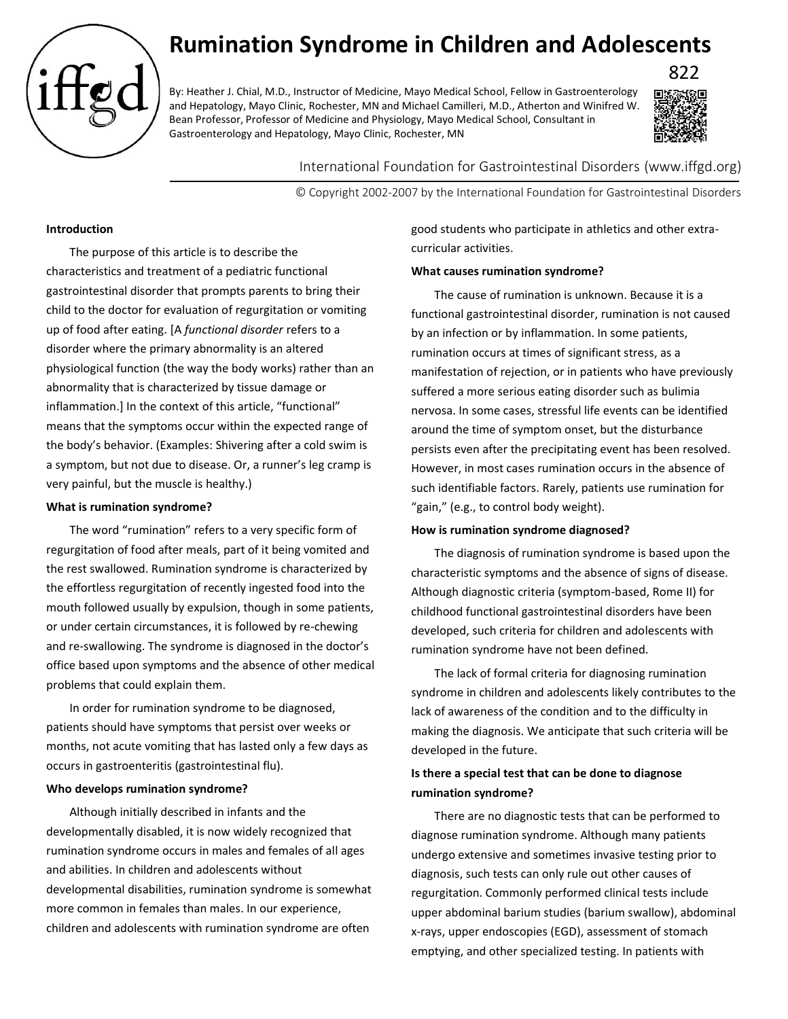# **Rumination Syndrome in Children and Adolescents**

By: Heather J. Chial, M.D., Instructor of Medicine, Mayo Medical School, Fellow in Gastroenterology and Hepatology, Mayo Clinic, Rochester, MN and Michael Camilleri, M.D., Atherton and Winifred W. Bean Professor, Professor of Medicine and Physiology, Mayo Medical School, Consultant in Gastroenterology and Hepatology, Mayo Clinic, Rochester, MN



International Foundation for Gastrointestinal Disorders (www.iffgd.org)

© Copyright 2002-2007 by the International Foundation for Gastrointestinal Disorders

# **Introduction**

The purpose of this article is to describe the characteristics and treatment of a pediatric functional gastrointestinal disorder that prompts parents to bring their child to the doctor for evaluation of regurgitation or vomiting up of food after eating. [A *functional disorder* refers to a disorder where the primary abnormality is an altered physiological function (the way the body works) rather than an abnormality that is characterized by tissue damage or inflammation.] In the context of this article, "functional" means that the symptoms occur within the expected range of the body's behavior. (Examples: Shivering after a cold swim is a symptom, but not due to disease. Or, a runner's leg cramp is very painful, but the muscle is healthy.)

# **What is rumination syndrome?**

The word "rumination" refers to a very specific form of regurgitation of food after meals, part of it being vomited and the rest swallowed. Rumination syndrome is characterized by the effortless regurgitation of recently ingested food into the mouth followed usually by expulsion, though in some patients, or under certain circumstances, it is followed by re-chewing and re-swallowing. The syndrome is diagnosed in the doctor's office based upon symptoms and the absence of other medical problems that could explain them.

In order for rumination syndrome to be diagnosed, patients should have symptoms that persist over weeks or months, not acute vomiting that has lasted only a few days as occurs in gastroenteritis (gastrointestinal flu).

### **Who develops rumination syndrome?**

Although initially described in infants and the developmentally disabled, it is now widely recognized that rumination syndrome occurs in males and females of all ages and abilities. In children and adolescents without developmental disabilities, rumination syndrome is somewhat more common in females than males. In our experience, children and adolescents with rumination syndrome are often

good students who participate in athletics and other extracurricular activities.

# **What causes rumination syndrome?**

The cause of rumination is unknown. Because it is a functional gastrointestinal disorder, rumination is not caused by an infection or by inflammation. In some patients, rumination occurs at times of significant stress, as a manifestation of rejection, or in patients who have previously suffered a more serious eating disorder such as bulimia nervosa. In some cases, stressful life events can be identified around the time of symptom onset, but the disturbance persists even after the precipitating event has been resolved. However, in most cases rumination occurs in the absence of such identifiable factors. Rarely, patients use rumination for "gain," (e.g., to control body weight).

### **How is rumination syndrome diagnosed?**

The diagnosis of rumination syndrome is based upon the characteristic symptoms and the absence of signs of disease. Although diagnostic criteria (symptom-based, Rome II) for childhood functional gastrointestinal disorders have been developed, such criteria for children and adolescents with rumination syndrome have not been defined.

The lack of formal criteria for diagnosing rumination syndrome in children and adolescents likely contributes to the lack of awareness of the condition and to the difficulty in making the diagnosis. We anticipate that such criteria will be developed in the future.

# **Is there a special test that can be done to diagnose rumination syndrome?**

There are no diagnostic tests that can be performed to diagnose rumination syndrome. Although many patients undergo extensive and sometimes invasive testing prior to diagnosis, such tests can only rule out other causes of regurgitation. Commonly performed clinical tests include upper abdominal barium studies (barium swallow), abdominal x-rays, upper endoscopies (EGD), assessment of stomach emptying, and other specialized testing. In patients with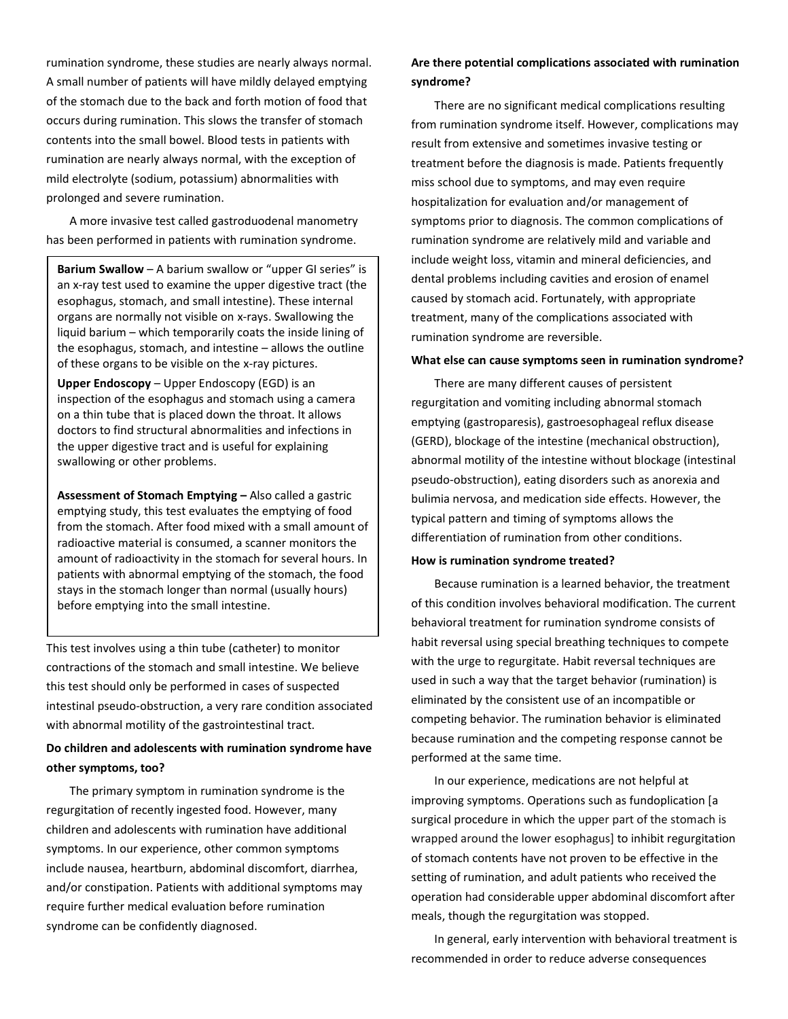rumination syndrome, these studies are nearly always normal. A small number of patients will have mildly delayed emptying of the stomach due to the back and forth motion of food that occurs during rumination. This slows the transfer of stomach contents into the small bowel. Blood tests in patients with rumination are nearly always normal, with the exception of mild electrolyte (sodium, potassium) abnormalities with prolonged and severe rumination.

A more invasive test called gastroduodenal manometry has been performed in patients with rumination syndrome.

**Barium Swallow** – A barium swallow or "upper GI series" is an x-ray test used to examine the upper digestive tract (the esophagus, stomach, and small intestine). These internal organs are normally not visible on x-rays. Swallowing the liquid barium – which temporarily coats the inside lining of the esophagus, stomach, and intestine – allows the outline of these organs to be visible on the x-ray pictures.

**Upper Endoscopy** – Upper Endoscopy (EGD) is an inspection of the esophagus and stomach using a camera on a thin tube that is placed down the throat. It allows doctors to find structural abnormalities and infections in the upper digestive tract and is useful for explaining swallowing or other problems.

**Assessment of Stomach Emptying –** Also called a gastric emptying study, this test evaluates the emptying of food from the stomach. After food mixed with a small amount of radioactive material is consumed, a scanner monitors the amount of radioactivity in the stomach for several hours. In patients with abnormal emptying of the stomach, the food stays in the stomach longer than normal (usually hours) before emptying into the small intestine.

This test involves using a thin tube (catheter) to monitor contractions of the stomach and small intestine. We believe this test should only be performed in cases of suspected intestinal pseudo-obstruction, a very rare condition associated with abnormal motility of the gastrointestinal tract.

# **Do children and adolescents with rumination syndrome have other symptoms, too?**

The primary symptom in rumination syndrome is the regurgitation of recently ingested food. However, many children and adolescents with rumination have additional symptoms. In our experience, other common symptoms include nausea, heartburn, abdominal discomfort, diarrhea, and/or constipation. Patients with additional symptoms may require further medical evaluation before rumination syndrome can be confidently diagnosed.

# **Are there potential complications associated with rumination syndrome?**

There are no significant medical complications resulting from rumination syndrome itself. However, complications may result from extensive and sometimes invasive testing or treatment before the diagnosis is made. Patients frequently miss school due to symptoms, and may even require hospitalization for evaluation and/or management of symptoms prior to diagnosis. The common complications of rumination syndrome are relatively mild and variable and include weight loss, vitamin and mineral deficiencies, and dental problems including cavities and erosion of enamel caused by stomach acid. Fortunately, with appropriate treatment, many of the complications associated with rumination syndrome are reversible.

# **What else can cause symptoms seen in rumination syndrome?**

There are many different causes of persistent regurgitation and vomiting including abnormal stomach emptying (gastroparesis), gastroesophageal reflux disease (GERD), blockage of the intestine (mechanical obstruction), abnormal motility of the intestine without blockage (intestinal pseudo-obstruction), eating disorders such as anorexia and bulimia nervosa, and medication side effects. However, the typical pattern and timing of symptoms allows the differentiation of rumination from other conditions.

### **How is rumination syndrome treated?**

Because rumination is a learned behavior, the treatment of this condition involves behavioral modification. The current behavioral treatment for rumination syndrome consists of habit reversal using special breathing techniques to compete with the urge to regurgitate. Habit reversal techniques are used in such a way that the target behavior (rumination) is eliminated by the consistent use of an incompatible or competing behavior. The rumination behavior is eliminated because rumination and the competing response cannot be performed at the same time.

In our experience, medications are not helpful at improving symptoms. Operations such as fundoplication [a surgical procedure in which the upper part of the stomach is wrapped around the lower esophagus] to inhibit regurgitation of stomach contents have not proven to be effective in the setting of rumination, and adult patients who received the operation had considerable upper abdominal discomfort after meals, though the regurgitation was stopped.

In general, early intervention with behavioral treatment is recommended in order to reduce adverse consequences